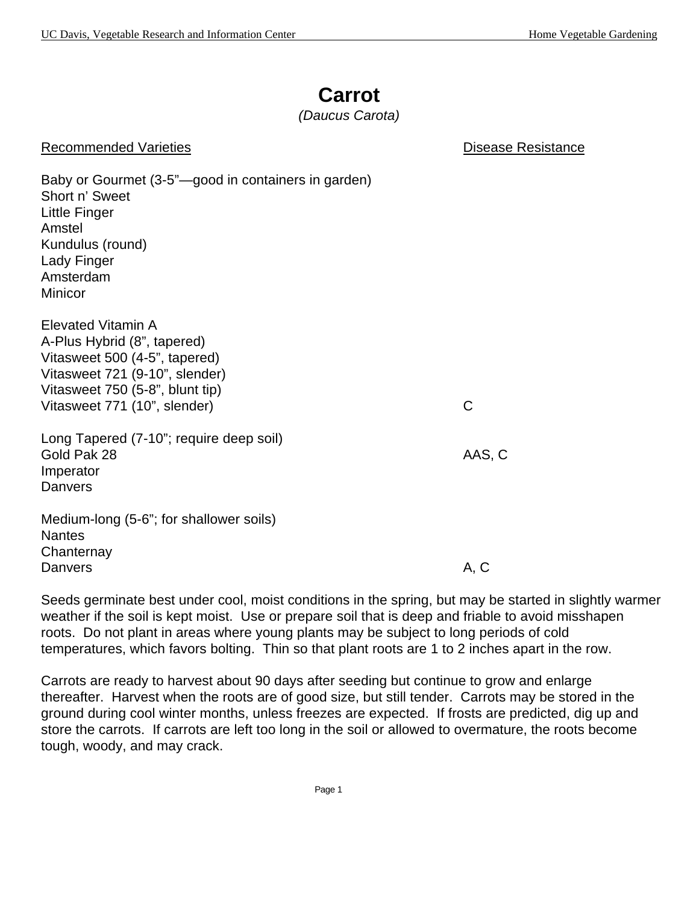# **Carrot**

### *(Daucus Carota)*

#### Recommended Varieties **Disease Resistance Disease Resistance**

| Baby or Gourmet (3-5"-good in containers in garden) |        |
|-----------------------------------------------------|--------|
| Short n' Sweet                                      |        |
| Little Finger                                       |        |
| Amstel                                              |        |
| Kundulus (round)                                    |        |
| Lady Finger                                         |        |
| Amsterdam                                           |        |
| <b>Minicor</b>                                      |        |
| Elevated Vitamin A                                  |        |
| A-Plus Hybrid (8", tapered)                         |        |
| Vitasweet 500 (4-5", tapered)                       |        |
| Vitasweet 721 (9-10", slender)                      |        |
| Vitasweet 750 (5-8", blunt tip)                     |        |
| Vitasweet 771 (10", slender)                        | C      |
| Long Tapered (7-10"; require deep soil)             |        |
| Gold Pak 28                                         | AAS, C |
| Imperator                                           |        |
| Danvers                                             |        |

| Medium-long (5-6"; for shallower soils) |      |
|-----------------------------------------|------|
| <b>Nantes</b>                           |      |
| Chanternay                              |      |
| <b>Danvers</b>                          | A, C |

Seeds germinate best under cool, moist conditions in the spring, but may be started in slightly warmer weather if the soil is kept moist. Use or prepare soil that is deep and friable to avoid misshapen roots. Do not plant in areas where young plants may be subject to long periods of cold temperatures, which favors bolting. Thin so that plant roots are 1 to 2 inches apart in the row.

Carrots are ready to harvest about 90 days after seeding but continue to grow and enlarge thereafter. Harvest when the roots are of good size, but still tender. Carrots may be stored in the ground during cool winter months, unless freezes are expected. If frosts are predicted, dig up and store the carrots. If carrots are left too long in the soil or allowed to overmature, the roots become tough, woody, and may crack.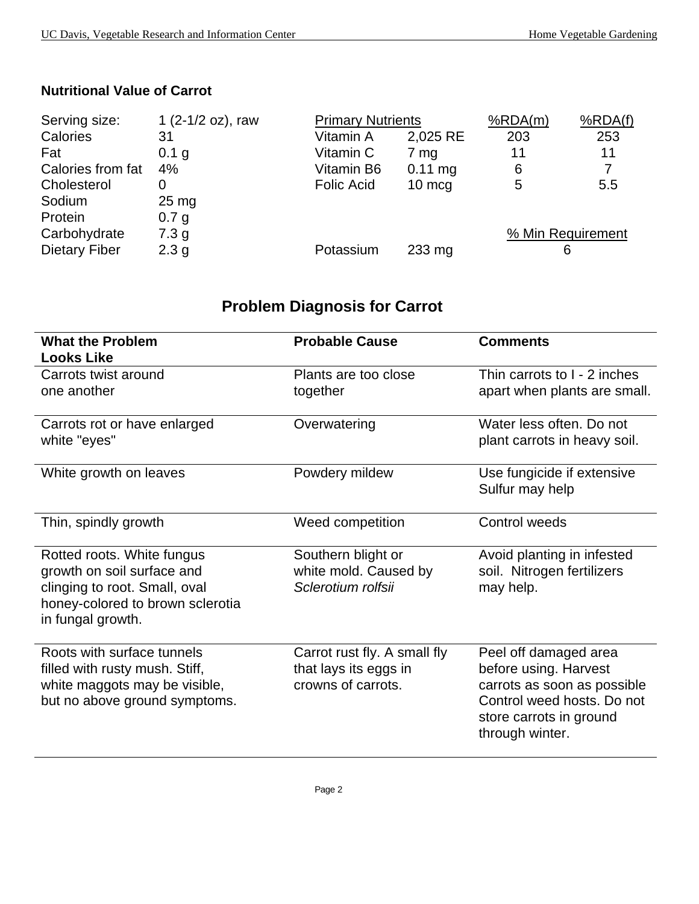| 1 (2-1/2 oz), raw |                   |                  | %RDA(m)                  | %RDA(f)           |
|-------------------|-------------------|------------------|--------------------------|-------------------|
| 31                | Vitamin A         | 2,025 RE         | 203                      | 253               |
| 0.1 g             | Vitamin C         | 7 mg             | 11                       | 11                |
| 4%                | Vitamin B6        | $0.11$ mg        | 6                        | 7                 |
|                   | <b>Folic Acid</b> | $10 \text{ mcq}$ | 5                        | 5.5               |
| $25 \text{ mg}$   |                   |                  |                          |                   |
| 0.7 <sub>g</sub>  |                   |                  |                          |                   |
| 7.3 <sub>g</sub>  |                   |                  |                          | % Min Requirement |
| 2.3 <sub>g</sub>  | Potassium         | $233 \text{ mg}$ |                          | 6                 |
|                   |                   |                  | <b>Primary Nutrients</b> |                   |

### **Nutritional Value of Carrot**

## **Problem Diagnosis for Carrot**

| <b>What the Problem</b>                                         | <b>Probable Cause</b>                       | <b>Comments</b>                                |
|-----------------------------------------------------------------|---------------------------------------------|------------------------------------------------|
| <b>Looks Like</b>                                               |                                             |                                                |
| Carrots twist around                                            | Plants are too close                        | Thin carrots to I - 2 inches                   |
| one another                                                     | together                                    | apart when plants are small.                   |
| Carrots rot or have enlarged                                    | Overwatering                                | Water less often. Do not                       |
| white "eyes"                                                    |                                             | plant carrots in heavy soil.                   |
| White growth on leaves                                          | Powdery mildew                              | Use fungicide if extensive                     |
|                                                                 |                                             | Sulfur may help                                |
| Thin, spindly growth                                            | Weed competition                            | Control weeds                                  |
| Rotted roots. White fungus                                      | Southern blight or                          | Avoid planting in infested                     |
| growth on soil surface and                                      | white mold. Caused by                       | soil. Nitrogen fertilizers                     |
| clinging to root. Small, oval                                   | Sclerotium rolfsii                          | may help.                                      |
| honey-colored to brown sclerotia<br>in fungal growth.           |                                             |                                                |
|                                                                 |                                             |                                                |
| Roots with surface tunnels                                      | Carrot rust fly. A small fly                | Peel off damaged area<br>before using. Harvest |
| filled with rusty mush. Stiff,<br>white maggots may be visible, | that lays its eggs in<br>crowns of carrots. | carrots as soon as possible                    |
| but no above ground symptoms.                                   |                                             | Control weed hosts. Do not                     |
|                                                                 |                                             | store carrots in ground                        |
|                                                                 |                                             | through winter.                                |
|                                                                 |                                             |                                                |